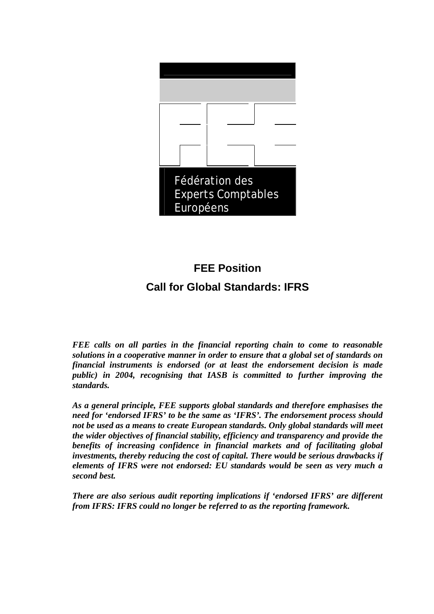

# **FEE Position**

# **Call for Global Standards: IFRS**

*FEE calls on all parties in the financial reporting chain to come to reasonable solutions in a cooperative manner in order to ensure that a global set of standards on financial instruments is endorsed (or at least the endorsement decision is made public) in 2004, recognising that IASB is committed to further improving the standards.* 

*As a general principle, FEE supports global standards and therefore emphasises the need for 'endorsed IFRS' to be the same as 'IFRS'. The endorsement process should not be used as a means to create European standards. Only global standards will meet the wider objectives of financial stability, efficiency and transparency and provide the benefits of increasing confidence in financial markets and of facilitating global investments, thereby reducing the cost of capital. There would be serious drawbacks if elements of IFRS were not endorsed: EU standards would be seen as very much a second best.* 

*There are also serious audit reporting implications if 'endorsed IFRS' are different from IFRS: IFRS could no longer be referred to as the reporting framework.*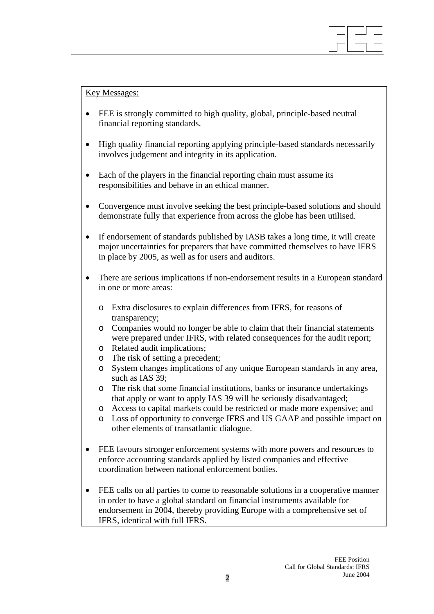

Key Messages:

- FEE is strongly committed to high quality, global, principle-based neutral financial reporting standards.
- High quality financial reporting applying principle-based standards necessarily involves judgement and integrity in its application.
- Each of the players in the financial reporting chain must assume its responsibilities and behave in an ethical manner.
- Convergence must involve seeking the best principle-based solutions and should demonstrate fully that experience from across the globe has been utilised.
- If endorsement of standards published by IASB takes a long time, it will create major uncertainties for preparers that have committed themselves to have IFRS in place by 2005, as well as for users and auditors.
- There are serious implications if non-endorsement results in a European standard in one or more areas:
	- o Extra disclosures to explain differences from IFRS, for reasons of transparency;
	- o Companies would no longer be able to claim that their financial statements were prepared under IFRS, with related consequences for the audit report;
	- o Related audit implications;
	- o The risk of setting a precedent;
	- o System changes implications of any unique European standards in any area, such as IAS 39;
	- o The risk that some financial institutions, banks or insurance undertakings that apply or want to apply IAS 39 will be seriously disadvantaged;
	- o Access to capital markets could be restricted or made more expensive; and
	- o Loss of opportunity to converge IFRS and US GAAP and possible impact on other elements of transatlantic dialogue.
- FEE favours stronger enforcement systems with more powers and resources to enforce accounting standards applied by listed companies and effective coordination between national enforcement bodies.
- FEE calls on all parties to come to reasonable solutions in a cooperative manner in order to have a global standard on financial instruments available for endorsement in 2004, thereby providing Europe with a comprehensive set of IFRS, identical with full IFRS.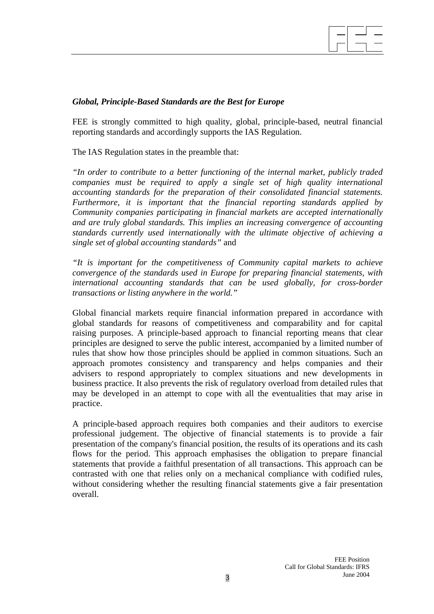

# *Global, Principle-Based Standards are the Best for Europe*

FEE is strongly committed to high quality, global, principle-based, neutral financial reporting standards and accordingly supports the IAS Regulation.

The IAS Regulation states in the preamble that:

*"In order to contribute to a better functioning of the internal market, publicly traded companies must be required to apply a single set of high quality international accounting standards for the preparation of their consolidated financial statements. Furthermore, it is important that the financial reporting standards applied by Community companies participating in financial markets are accepted internationally and are truly global standards. This implies an increasing convergence of accounting standards currently used internationally with the ultimate objective of achieving a single set of global accounting standards"* and

*"It is important for the competitiveness of Community capital markets to achieve convergence of the standards used in Europe for preparing financial statements, with international accounting standards that can be used globally, for cross-border transactions or listing anywhere in the world."* 

Global financial markets require financial information prepared in accordance with global standards for reasons of competitiveness and comparability and for capital raising purposes. A principle-based approach to financial reporting means that clear principles are designed to serve the public interest, accompanied by a limited number of rules that show how those principles should be applied in common situations. Such an approach promotes consistency and transparency and helps companies and their advisers to respond appropriately to complex situations and new developments in business practice. It also prevents the risk of regulatory overload from detailed rules that may be developed in an attempt to cope with all the eventualities that may arise in practice.

A principle-based approach requires both companies and their auditors to exercise professional judgement. The objective of financial statements is to provide a fair presentation of the company's financial position, the results of its operations and its cash flows for the period. This approach emphasises the obligation to prepare financial statements that provide a faithful presentation of all transactions. This approach can be contrasted with one that relies only on a mechanical compliance with codified rules, without considering whether the resulting financial statements give a fair presentation overall.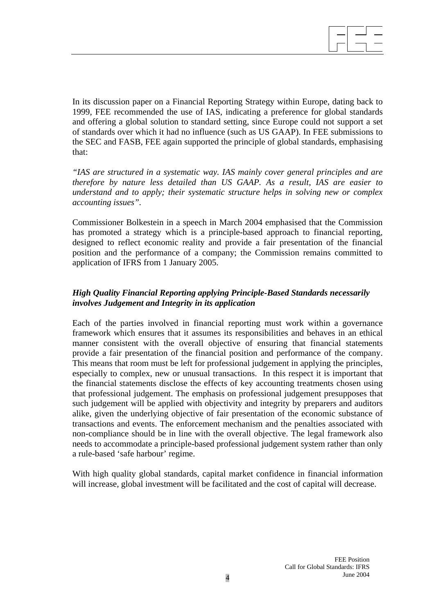

In its discussion paper on a Financial Reporting Strategy within Europe, dating back to 1999, FEE recommended the use of IAS, indicating a preference for global standards and offering a global solution to standard setting, since Europe could not support a set of standards over which it had no influence (such as US GAAP). In FEE submissions to the SEC and FASB, FEE again supported the principle of global standards, emphasising that:

*"IAS are structured in a systematic way. IAS mainly cover general principles and are therefore by nature less detailed than US GAAP. As a result, IAS are easier to understand and to apply; their systematic structure helps in solving new or complex accounting issues".* 

Commissioner Bolkestein in a speech in March 2004 emphasised that the Commission has promoted a strategy which is a principle-based approach to financial reporting, designed to reflect economic reality and provide a fair presentation of the financial position and the performance of a company; the Commission remains committed to application of IFRS from 1 January 2005.

# *High Quality Financial Reporting applying Principle-Based Standards necessarily involves Judgement and Integrity in its application*

Each of the parties involved in financial reporting must work within a governance framework which ensures that it assumes its responsibilities and behaves in an ethical manner consistent with the overall objective of ensuring that financial statements provide a fair presentation of the financial position and performance of the company. This means that room must be left for professional judgement in applying the principles, especially to complex, new or unusual transactions. In this respect it is important that the financial statements disclose the effects of key accounting treatments chosen using that professional judgement. The emphasis on professional judgement presupposes that such judgement will be applied with objectivity and integrity by preparers and auditors alike, given the underlying objective of fair presentation of the economic substance of transactions and events. The enforcement mechanism and the penalties associated with non-compliance should be in line with the overall objective. The legal framework also needs to accommodate a principle-based professional judgement system rather than only a rule-based 'safe harbour' regime.

With high quality global standards, capital market confidence in financial information will increase, global investment will be facilitated and the cost of capital will decrease.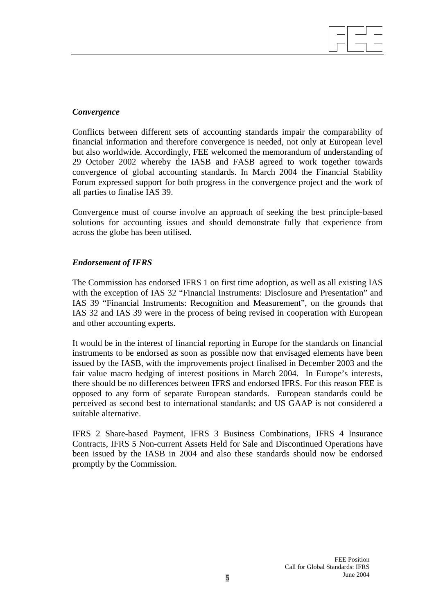#### *Convergence*

Conflicts between different sets of accounting standards impair the comparability of financial information and therefore convergence is needed, not only at European level but also worldwide. Accordingly, FEE welcomed the memorandum of understanding of 29 October 2002 whereby the IASB and FASB agreed to work together towards convergence of global accounting standards. In March 2004 the Financial Stability Forum expressed support for both progress in the convergence project and the work of all parties to finalise IAS 39.

Convergence must of course involve an approach of seeking the best principle-based solutions for accounting issues and should demonstrate fully that experience from across the globe has been utilised.

## *Endorsement of IFRS*

The Commission has endorsed IFRS 1 on first time adoption, as well as all existing IAS with the exception of IAS 32 "Financial Instruments: Disclosure and Presentation" and IAS 39 "Financial Instruments: Recognition and Measurement", on the grounds that IAS 32 and IAS 39 were in the process of being revised in cooperation with European and other accounting experts.

It would be in the interest of financial reporting in Europe for the standards on financial instruments to be endorsed as soon as possible now that envisaged elements have been issued by the IASB, with the improvements project finalised in December 2003 and the fair value macro hedging of interest positions in March 2004. In Europe's interests, there should be no differences between IFRS and endorsed IFRS. For this reason FEE is opposed to any form of separate European standards. European standards could be perceived as second best to international standards; and US GAAP is not considered a suitable alternative.

IFRS 2 Share-based Payment, IFRS 3 Business Combinations, IFRS 4 Insurance Contracts, IFRS 5 Non-current Assets Held for Sale and Discontinued Operations have been issued by the IASB in 2004 and also these standards should now be endorsed promptly by the Commission.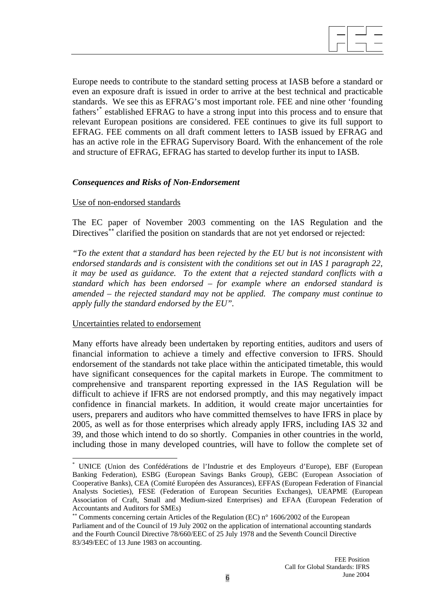<span id="page-5-2"></span>Europe needs to contribute to the standard setting process at IASB before a standard or even an exposure draft is issued in order to arrive at the best technical and practicable standards. We see this as EFRAG's most important role. FEE and nine other 'founding fathers['\\*](#page-5-0) established EFRAG to have a strong input into this process and to ensure that relevant European positions are considered. FEE continues to give its full support to EFRAG. FEE comments on all draft comment letters to IASB issued by EFRAG and has an active role in the EFRAG Supervisory Board. With the enhancement of the role and structure of EFRAG, EFRAG has started to develop further its input to IASB.

#### *Consequences and Risks of Non-Endorsement*

#### Use of non-endorsed standards

The EC paper of November 2003 commenting on the IAS Regulation and the Directives<sup>[∗](#page-5-2)∗</sup> clarified the position on standards that are not yet endorsed or rejected:

*"To the extent that a standard has been rejected by the EU but is not inconsistent with endorsed standards and is consistent with the conditions set out in IAS 1 paragraph 22, it may be used as guidance. To the extent that a rejected standard conflicts with a standard which has been endorsed – for example where an endorsed standard is amended – the rejected standard may not be applied. The company must continue to apply fully the standard endorsed by the EU".* 

#### Uncertainties related to endorsement

 $\overline{a}$ 

Many efforts have already been undertaken by reporting entities, auditors and users of financial information to achieve a timely and effective conversion to IFRS. Should endorsement of the standards not take place within the anticipated timetable, this would have significant consequences for the capital markets in Europe. The commitment to comprehensive and transparent reporting expressed in the IAS Regulation will be difficult to achieve if IFRS are not endorsed promptly, and this may negatively impact confidence in financial markets. In addition, it would create major uncertainties for users, preparers and auditors who have committed themselves to have IFRS in place by 2005, as well as for those enterprises which already apply IFRS, including IAS 32 and 39, and those which intend to do so shortly. Companies in other countries in the world, including those in many developed countries, will have to follow the complete set of

<span id="page-5-0"></span><sup>\*</sup> UNICE (Union des Confédérations de l'Industrie et des Employeurs d'Europe), EBF (European Banking Federation), ESBG (European Savings Banks Group), GEBC (European Association of Cooperative Banks), CEA (Comité Européen des Assurances), EFFAS (European Federation of Financial Analysts Societies), FESE (Federation of European Securities Exchanges), UEAPME (European Association of Craft, Small and Medium-sized Enterprises) and EFAA (European Federation of Accountants and Auditors for SMEs)

<span id="page-5-1"></span><sup>∗∗</sup> Comments concerning certain Articles of the Regulation (EC) n° 1606/2002 of the European Parliament and of the Council of 19 July 2002 on the application of international accounting standards and the Fourth Council Directive 78/660/EEC of 25 July 1978 and the Seventh Council Directive 83/349/EEC of 13 June 1983 on accounting.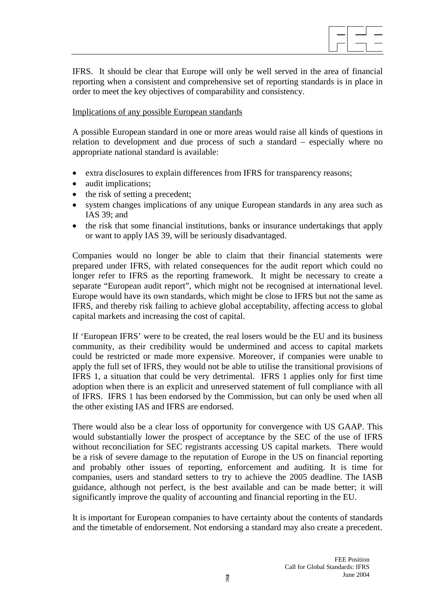IFRS. It should be clear that Europe will only be well served in the area of financial reporting when a consistent and comprehensive set of reporting standards is in place in order to meet the key objectives of comparability and consistency.

#### Implications of any possible European standards

A possible European standard in one or more areas would raise all kinds of questions in relation to development and due process of such a standard – especially where no appropriate national standard is available:

- extra disclosures to explain differences from IFRS for transparency reasons;
- audit implications;
- the risk of setting a precedent;
- system changes implications of any unique European standards in any area such as IAS 39; and
- the risk that some financial institutions, banks or insurance undertakings that apply or want to apply IAS 39, will be seriously disadvantaged.

Companies would no longer be able to claim that their financial statements were prepared under IFRS, with related consequences for the audit report which could no longer refer to IFRS as the reporting framework. It might be necessary to create a separate "European audit report", which might not be recognised at international level. Europe would have its own standards, which might be close to IFRS but not the same as IFRS, and thereby risk failing to achieve global acceptability, affecting access to global capital markets and increasing the cost of capital.

If 'European IFRS' were to be created, the real losers would be the EU and its business community, as their credibility would be undermined and access to capital markets could be restricted or made more expensive. Moreover, if companies were unable to apply the full set of IFRS, they would not be able to utilise the transitional provisions of IFRS 1, a situation that could be very detrimental. IFRS 1 applies only for first time adoption when there is an explicit and unreserved statement of full compliance with all of IFRS. IFRS 1 has been endorsed by the Commission, but can only be used when all the other existing IAS and IFRS are endorsed.

There would also be a clear loss of opportunity for convergence with US GAAP. This would substantially lower the prospect of acceptance by the SEC of the use of IFRS without reconciliation for SEC registrants accessing US capital markets. There would be a risk of severe damage to the reputation of Europe in the US on financial reporting and probably other issues of reporting, enforcement and auditing. It is time for companies, users and standard setters to try to achieve the 2005 deadline. The IASB guidance, although not perfect, is the best available and can be made better; it will significantly improve the quality of accounting and financial reporting in the EU.

It is important for European companies to have certainty about the contents of standards and the timetable of endorsement. Not endorsing a standard may also create a precedent.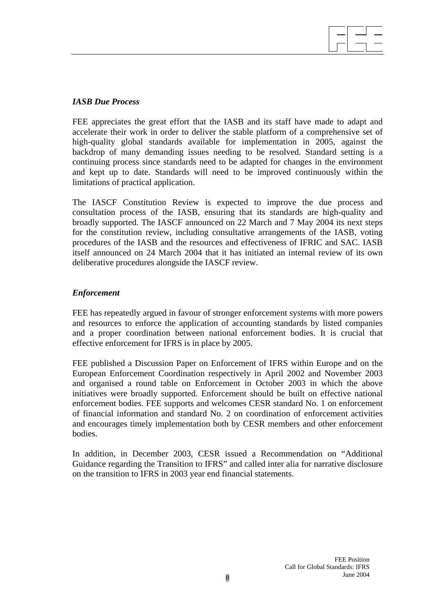# 

# *IASB Due Process*

FEE appreciates the great effort that the IASB and its staff have made to adapt and accelerate their work in order to deliver the stable platform of a comprehensive set of high-quality global standards available for implementation in 2005, against the backdrop of many demanding issues needing to be resolved. Standard setting is a continuing process since standards need to be adapted for changes in the environment and kept up to date. Standards will need to be improved continuously within the limitations of practical application.

The IASCF Constitution Review is expected to improve the due process and consultation process of the IASB, ensuring that its standards are high-quality and broadly supported. The IASCF announced on 22 March and 7 May 2004 its next steps for the constitution review, including consultative arrangements of the IASB, voting procedures of the IASB and the resources and effectiveness of IFRIC and SAC. IASB itself announced on 24 March 2004 that it has initiated an internal review of its own deliberative procedures alongside the IASCF review.

# *Enforcement*

FEE has repeatedly argued in favour of stronger enforcement systems with more powers and resources to enforce the application of accounting standards by listed companies and a proper coordination between national enforcement bodies. It is crucial that effective enforcement for IFRS is in place by 2005.

FEE published a Discussion Paper on Enforcement of IFRS within Europe and on the European Enforcement Coordination respectively in April 2002 and November 2003 and organised a round table on Enforcement in October 2003 in which the above initiatives were broadly supported. Enforcement should be built on effective national enforcement bodies. FEE supports and welcomes CESR standard No. 1 on enforcement of financial information and standard No. 2 on coordination of enforcement activities and encourages timely implementation both by CESR members and other enforcement bodies.

In addition, in December 2003, CESR issued a Recommendation on "Additional Guidance regarding the Transition to IFRS" and called inter alia for narrative disclosure on the transition to IFRS in 2003 year end financial statements.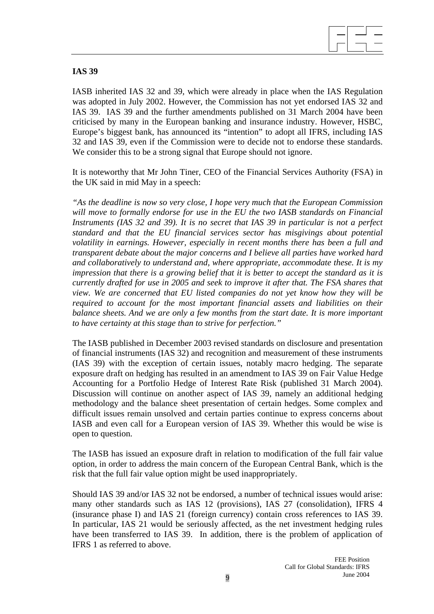

# **IAS 39**

IASB inherited IAS 32 and 39, which were already in place when the IAS Regulation was adopted in July 2002. However, the Commission has not yet endorsed IAS 32 and IAS 39. IAS 39 and the further amendments published on 31 March 2004 have been criticised by many in the European banking and insurance industry. However, HSBC, Europe's biggest bank, has announced its "intention" to adopt all IFRS, including IAS 32 and IAS 39, even if the Commission were to decide not to endorse these standards. We consider this to be a strong signal that Europe should not ignore.

It is noteworthy that Mr John Tiner, CEO of the Financial Services Authority (FSA) in the UK said in mid May in a speech:

*"As the deadline is now so very close, I hope very much that the European Commission will move to formally endorse for use in the EU the two IASB standards on Financial Instruments (IAS 32 and 39). It is no secret that IAS 39 in particular is not a perfect standard and that the EU financial services sector has misgivings about potential volatility in earnings. However, especially in recent months there has been a full and transparent debate about the major concerns and I believe all parties have worked hard and collaboratively to understand and, where appropriate, accommodate these. It is my impression that there is a growing belief that it is better to accept the standard as it is currently drafted for use in 2005 and seek to improve it after that. The FSA shares that view. We are concerned that EU listed companies do not yet know how they will be required to account for the most important financial assets and liabilities on their balance sheets. And we are only a few months from the start date. It is more important to have certainty at this stage than to strive for perfection."*

The IASB published in December 2003 revised standards on disclosure and presentation of financial instruments (IAS 32) and recognition and measurement of these instruments (IAS 39) with the exception of certain issues, notably macro hedging. The separate exposure draft on hedging has resulted in an amendment to IAS 39 on Fair Value Hedge Accounting for a Portfolio Hedge of Interest Rate Risk (published 31 March 2004). Discussion will continue on another aspect of IAS 39, namely an additional hedging methodology and the balance sheet presentation of certain hedges. Some complex and difficult issues remain unsolved and certain parties continue to express concerns about IASB and even call for a European version of IAS 39. Whether this would be wise is open to question.

The IASB has issued an exposure draft in relation to modification of the full fair value option, in order to address the main concern of the European Central Bank, which is the risk that the full fair value option might be used inappropriately.

Should IAS 39 and/or IAS 32 not be endorsed, a number of technical issues would arise: many other standards such as IAS 12 (provisions), IAS 27 (consolidation), IFRS 4 (insurance phase I) and IAS 21 (foreign currency) contain cross references to IAS 39. In particular, IAS 21 would be seriously affected, as the net investment hedging rules have been transferred to IAS 39. In addition, there is the problem of application of IFRS 1 as referred to above.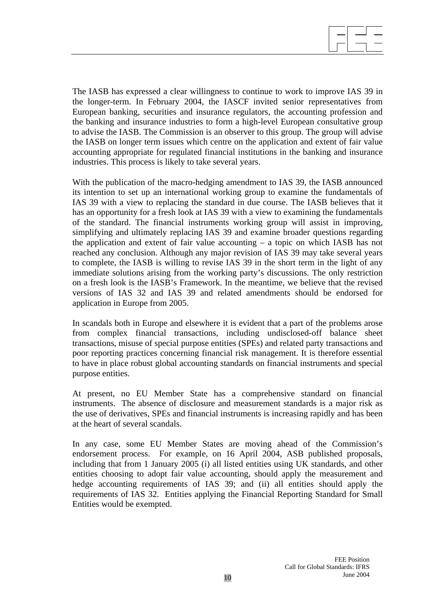

The IASB has expressed a clear willingness to continue to work to improve IAS 39 in the longer-term. In February 2004, the IASCF invited senior representatives from European banking, securities and insurance regulators, the accounting profession and the banking and insurance industries to form a high-level European consultative group to advise the IASB. The Commission is an observer to this group. The group will advise the IASB on longer term issues which centre on the application and extent of fair value accounting appropriate for regulated financial institutions in the banking and insurance industries. This process is likely to take several years.

With the publication of the macro-hedging amendment to IAS 39, the IASB announced its intention to set up an international working group to examine the fundamentals of IAS 39 with a view to replacing the standard in due course. The IASB believes that it has an opportunity for a fresh look at IAS 39 with a view to examining the fundamentals of the standard. The financial instruments working group will assist in improving, simplifying and ultimately replacing IAS 39 and examine broader questions regarding the application and extent of fair value accounting – a topic on which IASB has not reached any conclusion. Although any major revision of IAS 39 may take several years to complete, the IASB is willing to revise IAS 39 in the short term in the light of any immediate solutions arising from the working party's discussions. The only restriction on a fresh look is the IASB's Framework. In the meantime, we believe that the revised versions of IAS 32 and IAS 39 and related amendments should be endorsed for application in Europe from 2005.

In scandals both in Europe and elsewhere it is evident that a part of the problems arose from complex financial transactions, including undisclosed-off balance sheet transactions, misuse of special purpose entities (SPEs) and related party transactions and poor reporting practices concerning financial risk management. It is therefore essential to have in place robust global accounting standards on financial instruments and special purpose entities.

At present, no EU Member State has a comprehensive standard on financial instruments. The absence of disclosure and measurement standards is a major risk as the use of derivatives, SPEs and financial instruments is increasing rapidly and has been at the heart of several scandals.

In any case, some EU Member States are moving ahead of the Commission's endorsement process. For example, on 16 April 2004, ASB published proposals, including that from 1 January 2005 (i) all listed entities using UK standards, and other entities choosing to adopt fair value accounting, should apply the measurement and hedge accounting requirements of IAS 39; and (ii) all entities should apply the requirements of IAS 32. Entities applying the Financial Reporting Standard for Small Entities would be exempted.